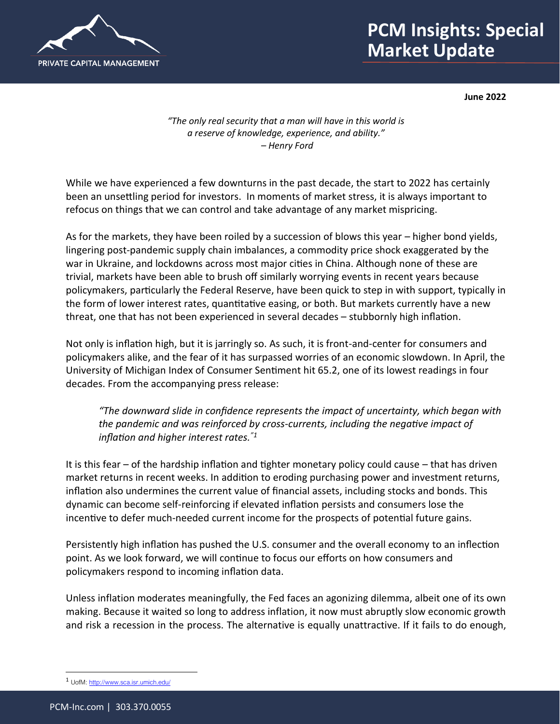

## **PCM Insights: Special 75 Market Update**

**June 2022**

*"The only real security that a man will have in this world is a reserve of knowledge, experience, and ability." – Henry Ford*

While we have experienced a few downturns in the past decade, the start to 2022 has certainly been an unsettling period for investors. In moments of market stress, it is always important to refocus on things that we can control and take advantage of any market mispricing.

As for the markets, they have been roiled by a succession of blows this year – higher bond yields, lingering post-pandemic supply chain imbalances, a commodity price shock exaggerated by the war in Ukraine, and lockdowns across most major cities in China. Although none of these are trivial, markets have been able to brush off similarly worrying events in recent years because policymakers, particularly the Federal Reserve, have been quick to step in with support, typically in the form of lower interest rates, quantitative easing, or both. But markets currently have a new threat, one that has not been experienced in several decades – stubbornly high inflation.

Not only is inflation high, but it is jarringly so. As such, it is front-and-center for consumers and policymakers alike, and the fear of it has surpassed worries of an economic slowdown. In April, the University of Michigan Index of Consumer Sentiment hit 65.2, one of its lowest readings in four decades. From the accompanying press release:

*"The downward slide in confidence represents the impact of uncertainty, which began with the pandemic and was reinforced by cross-currents, including the negative impact of inflation and higher interest rates."<sup>1</sup>*

It is this fear – of the hardship inflation and tighter monetary policy could cause – that has driven market returns in recent weeks. In addition to eroding purchasing power and investment returns, inflation also undermines the current value of financial assets, including stocks and bonds. This dynamic can become self-reinforcing if elevated inflation persists and consumers lose the incentive to defer much-needed current income for the prospects of potential future gains.

Persistently high inflation has pushed the U.S. consumer and the overall economy to an inflection point. As we look forward, we will continue to focus our efforts on how consumers and policymakers respond to incoming inflation data.

Unless inflation moderates meaningfully, the Fed faces an agonizing dilemma, albeit one of its own making. Because it waited so long to address inflation, it now must abruptly slow economic growth and risk a recession in the process. The alternative is equally unattractive. If it fails to do enough,

<sup>1</sup> UofM[: http://www.sca.isr.umich.edu/](http://www.sca.isr.umich.edu/)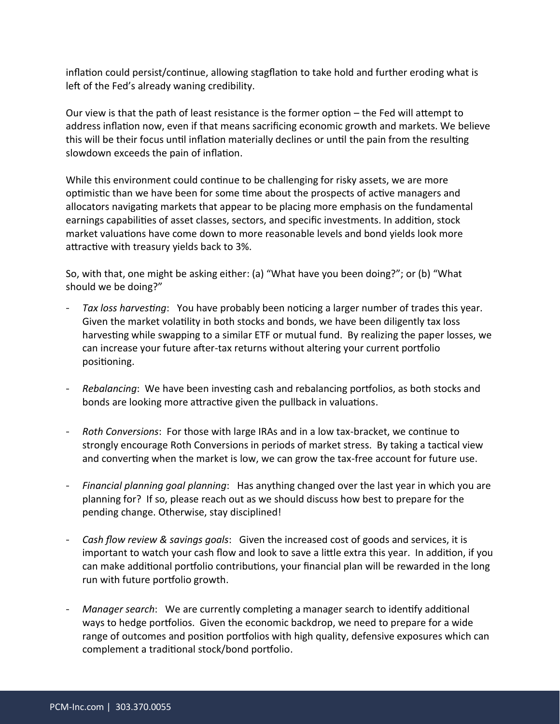inflation could persist/continue, allowing stagflation to take hold and further eroding what is left of the Fed's already waning credibility.

Our view is that the path of least resistance is the former option – the Fed will attempt to address inflation now, even if that means sacrificing economic growth and markets. We believe this will be their focus until inflation materially declines or until the pain from the resulting slowdown exceeds the pain of inflation.

While this environment could continue to be challenging for risky assets, we are more optimistic than we have been for some time about the prospects of active managers and allocators navigating markets that appear to be placing more emphasis on the fundamental earnings capabilities of asset classes, sectors, and specific investments. In addition, stock market valuations have come down to more reasonable levels and bond yields look more attractive with treasury yields back to 3%.

So, with that, one might be asking either: (a) "What have you been doing?"; or (b) "What should we be doing?"

- *Tax loss harvesting*: You have probably been noticing a larger number of trades this year. Given the market volatility in both stocks and bonds, we have been diligently tax loss harvesting while swapping to a similar ETF or mutual fund. By realizing the paper losses, we can increase your future after-tax returns without altering your current portfolio positioning.
- *Rebalancing*: We have been investing cash and rebalancing portfolios, as both stocks and bonds are looking more attractive given the pullback in valuations.
- *Roth Conversions*: For those with large IRAs and in a low tax-bracket, we continue to strongly encourage Roth Conversions in periods of market stress. By taking a tactical view and converting when the market is low, we can grow the tax-free account for future use.
- *Financial planning goal planning*: Has anything changed over the last year in which you are planning for? If so, please reach out as we should discuss how best to prepare for the pending change. Otherwise, stay disciplined!
- *Cash flow review & savings goals*: Given the increased cost of goods and services, it is important to watch your cash flow and look to save a little extra this year. In addition, if you can make additional portfolio contributions, your financial plan will be rewarded in the long run with future portfolio growth.
- *Manager search*: We are currently completing a manager search to identify additional ways to hedge portfolios. Given the economic backdrop, we need to prepare for a wide range of outcomes and position portfolios with high quality, defensive exposures which can complement a traditional stock/bond portfolio.